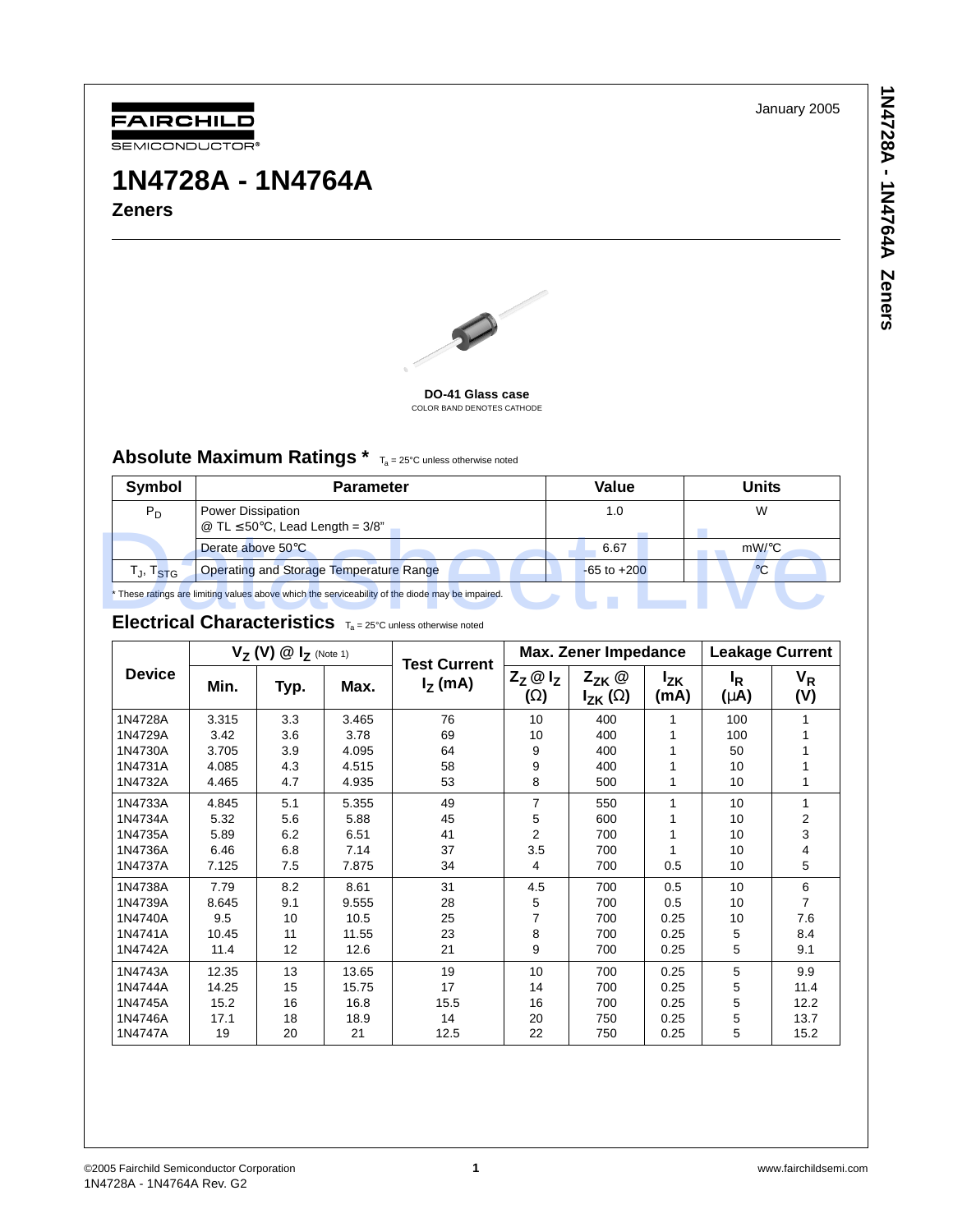January 2005



# **1N4728A - 1N4764A Zeners**



#### **DO-41 Glass case** COLOR BAND DENOTES CATHODE

### Absolute Maximum Ratings \*  $T_a = 25^{\circ}C$  unless otherwise noted

| Symbol                            | <b>Parameter</b>                                                                                 | Value           | Units        |  |  |  |
|-----------------------------------|--------------------------------------------------------------------------------------------------|-----------------|--------------|--|--|--|
| $P_D$                             | Power Dissipation<br>@ TL $\leq 50^{\circ}$ C, Lead Length = 3/8"                                | 1.0             | W            |  |  |  |
|                                   | Derate above 50°C                                                                                | 6.67            | $mW$ /°C     |  |  |  |
| T <sub>J</sub> , T <sub>STG</sub> | Operating and Storage Temperature Range                                                          | $-65$ to $+200$ | $^{\circ}$ C |  |  |  |
|                                   | * These ratings are limiting values above which the serviceability of the diode may be impaired. |                 |              |  |  |  |
|                                   | <b>Electrical Characteristics</b> $T_a = 25^\circ$ C unless otherwise noted                      |                 |              |  |  |  |

### Electrical Characteristics  $T_a = 25^\circ$ C unless otherwise noted

|               | $V_Z(V) \circledR I_Z$ (Note 1) |      |       | <b>Test Current</b> | <b>Max. Zener Impedance</b>     |                                         |                    | <b>Leakage Current</b>      |                |
|---------------|---------------------------------|------|-------|---------------------|---------------------------------|-----------------------------------------|--------------------|-----------------------------|----------------|
| <b>Device</b> | Min.                            | Typ. | Max.  | $IZ$ (mA)           | $Z_Z \otimes I_Z$<br>$(\Omega)$ | $Z_{ZK}$ @<br>$I_{\mathsf{ZK}}(\Omega)$ | <b>Izk</b><br>(mA) | <sup>I</sup> R<br>$(\mu A)$ | $V_R$<br>(V)   |
| 1N4728A       | 3.315                           | 3.3  | 3.465 | 76                  | 10                              | 400                                     | 1                  | 100                         |                |
| 1N4729A       | 3.42                            | 3.6  | 3.78  | 69                  | 10                              | 400                                     |                    | 100                         |                |
| 1N4730A       | 3.705                           | 3.9  | 4.095 | 64                  | 9                               | 400                                     |                    | 50                          |                |
| 1N4731A       | 4.085                           | 4.3  | 4.515 | 58                  | 9                               | 400                                     |                    | 10                          |                |
| 1N4732A       | 4.465                           | 4.7  | 4.935 | 53                  | 8                               | 500                                     | 1                  | 10                          |                |
| 1N4733A       | 4.845                           | 5.1  | 5.355 | 49                  | $\overline{7}$                  | 550                                     | 1                  | 10                          | 1              |
| 1N4734A       | 5.32                            | 5.6  | 5.88  | 45                  | 5                               | 600                                     |                    | 10                          | 2              |
| 1N4735A       | 5.89                            | 6.2  | 6.51  | 41                  | $\overline{2}$                  | 700                                     |                    | 10                          | 3              |
| 1N4736A       | 6.46                            | 6.8  | 7.14  | 37                  | 3.5                             | 700                                     |                    | 10                          | 4              |
| 1N4737A       | 7.125                           | 7.5  | 7.875 | 34                  | 4                               | 700                                     | 0.5                | 10                          | 5              |
| 1N4738A       | 7.79                            | 8.2  | 8.61  | 31                  | 4.5                             | 700                                     | 0.5                | 10                          | 6              |
| 1N4739A       | 8.645                           | 9.1  | 9.555 | 28                  | 5                               | 700                                     | 0.5                | 10                          | $\overline{7}$ |
| 1N4740A       | 9.5                             | 10   | 10.5  | 25                  | 7                               | 700                                     | 0.25               | 10                          | 7.6            |
| 1N4741A       | 10.45                           | 11   | 11.55 | 23                  | 8                               | 700                                     | 0.25               | 5                           | 8.4            |
| 1N4742A       | 11.4                            | 12   | 12.6  | 21                  | 9                               | 700                                     | 0.25               | 5                           | 9.1            |
| 1N4743A       | 12.35                           | 13   | 13.65 | 19                  | 10                              | 700                                     | 0.25               | 5                           | 9.9            |
| 1N4744A       | 14.25                           | 15   | 15.75 | 17                  | 14                              | 700                                     | 0.25               | 5                           | 11.4           |
| 1N4745A       | 15.2                            | 16   | 16.8  | 15.5                | 16                              | 700                                     | 0.25               | 5                           | 12.2           |
| 1N4746A       | 17.1                            | 18   | 18.9  | 14                  | 20                              | 750                                     | 0.25               | 5                           | 13.7           |
| 1N4747A       | 19                              | 20   | 21    | 12.5                | 22                              | 750                                     | 0.25               | 5                           | 15.2           |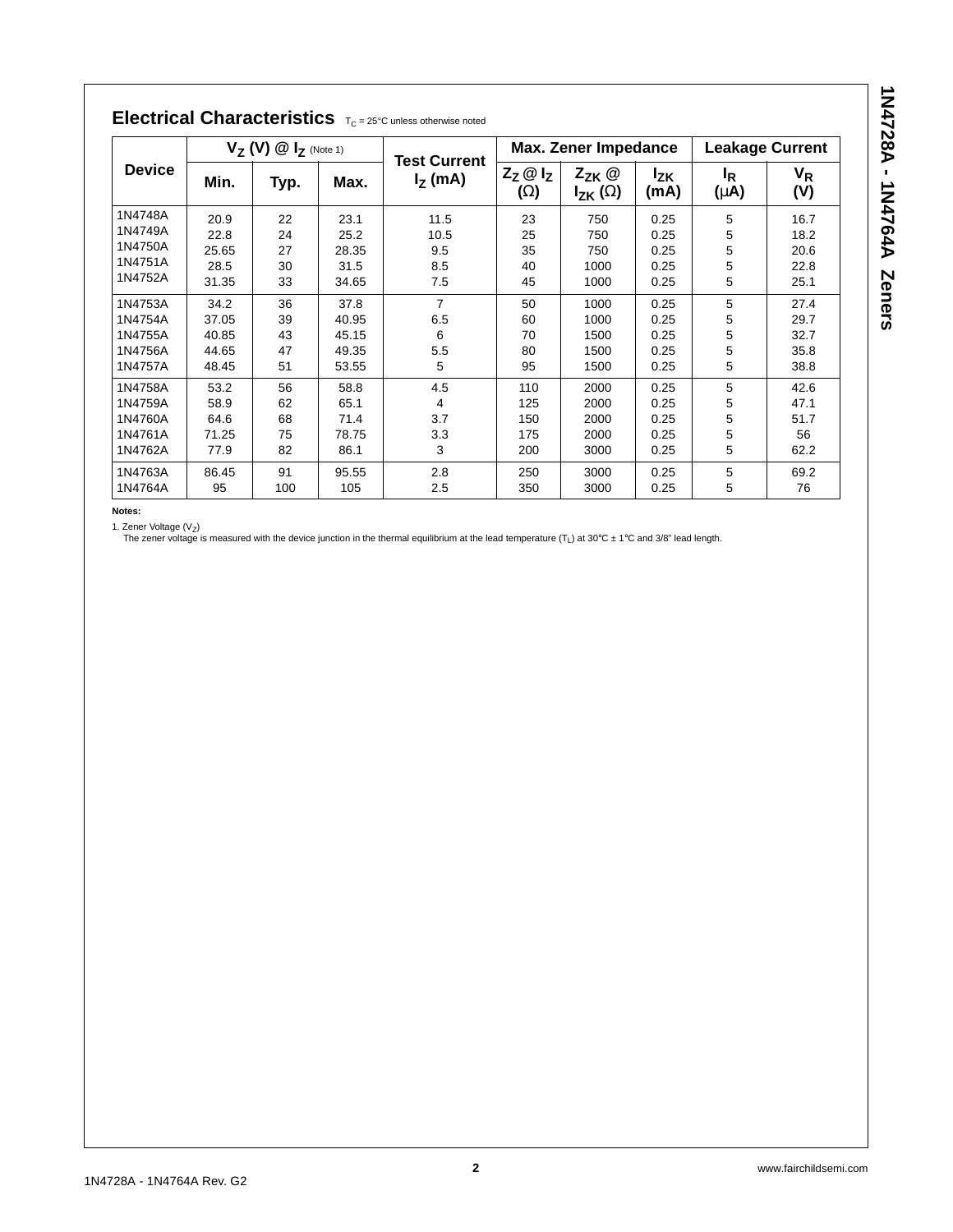| <b>Device</b> | $V_Z$ (V) $@I_Z$ (Note 1) |      |       |                                  | <b>Max. Zener Impedance</b>            |                                |                         | <b>Leakage Current</b>      |              |
|---------------|---------------------------|------|-------|----------------------------------|----------------------------------------|--------------------------------|-------------------------|-----------------------------|--------------|
|               | Min.                      | Typ. | Max.  | <b>Test Current</b><br>$Iz$ (mA) | $Z_{Z}$ $\omega$ $I_{Z}$<br>$(\Omega)$ | $Z_{ZK}$ @<br>$I_{ZK}(\Omega)$ | l <sub>ΖK</sub><br>(mA) | l <sub>R</sub><br>$(\mu A)$ | $V_R$<br>(V) |
| 1N4748A       | 20.9                      | 22   | 23.1  | 11.5                             | 23                                     | 750                            | 0.25                    | 5                           | 16.7         |
| 1N4749A       | 22.8                      | 24   | 25.2  | 10.5                             | 25                                     | 750                            | 0.25                    | 5                           | 18.2         |
| 1N4750A       | 25.65                     | 27   | 28.35 | 9.5                              | 35                                     | 750                            | 0.25                    | 5                           | 20.6         |
| 1N4751A       | 28.5                      | 30   | 31.5  | 8.5                              | 40                                     | 1000                           | 0.25                    | 5                           | 22.8         |
| 1N4752A       | 31.35                     | 33   | 34.65 | 7.5                              | 45                                     | 1000                           | 0.25                    | 5                           | 25.1         |
| 1N4753A       | 34.2                      | 36   | 37.8  | $\overline{7}$                   | 50                                     | 1000                           | 0.25                    | 5                           | 27.4         |
| 1N4754A       | 37.05                     | 39   | 40.95 | 6.5                              | 60                                     | 1000                           | 0.25                    | 5                           | 29.7         |
| 1N4755A       | 40.85                     | 43   | 45.15 | 6                                | 70                                     | 1500                           | 0.25                    | 5                           | 32.7         |
| 1N4756A       | 44.65                     | 47   | 49.35 | 5.5                              | 80                                     | 1500                           | 0.25                    | 5                           | 35.8         |
| 1N4757A       | 48.45                     | 51   | 53.55 | 5                                | 95                                     | 1500                           | 0.25                    | 5                           | 38.8         |
| 1N4758A       | 53.2                      | 56   | 58.8  | 4.5                              | 110                                    | 2000                           | 0.25                    | 5                           | 42.6         |
| 1N4759A       | 58.9                      | 62   | 65.1  | 4                                | 125                                    | 2000                           | 0.25                    | 5                           | 47.1         |
| 1N4760A       | 64.6                      | 68   | 71.4  | 3.7                              | 150                                    | 2000                           | 0.25                    | 5                           | 51.7         |
| 1N4761A       | 71.25                     | 75   | 78.75 | 3.3                              | 175                                    | 2000                           | 0.25                    | 5                           | 56           |
| 1N4762A       | 77.9                      | 82   | 86.1  | 3                                | 200                                    | 3000                           | 0.25                    | 5                           | 62.2         |
| 1N4763A       | 86.45                     | 91   | 95.55 | 2.8                              | 250                                    | 3000                           | 0.25                    | 5                           | 69.2         |
| 1N4764A       | 95                        | 100  | 105   | 2.5                              | 350                                    | 3000                           | 0.25                    | 5                           | 76           |

## Electrical Characteristics  $T_C = 25^\circ C$  unless otherwise noted

**Notes:**

1. Zener Voltage (V<sub>Z</sub>)<br>The zener voltage is measured with the device junction in the thermal equilibrium at the lead temperature (T<sub>L</sub>) at 30°C ± 1°C and 3/8" lead length.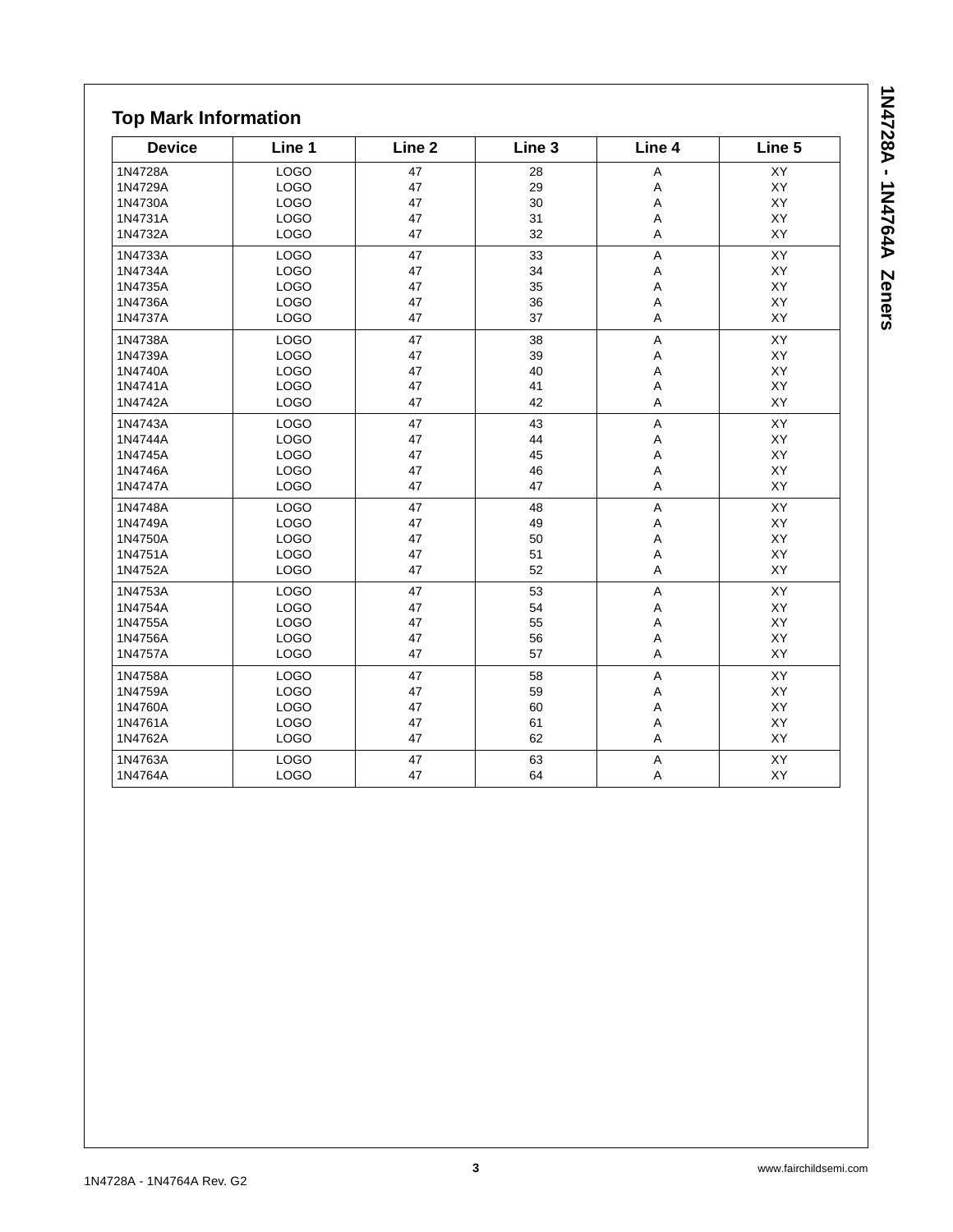| <b>Device</b> | Line 1      | Line <sub>2</sub> | Line 3 | Line 4         | Line 5 |
|---------------|-------------|-------------------|--------|----------------|--------|
| 1N4728A       | <b>LOGO</b> | 47                | 28     | A              | XY     |
| 1N4729A       | <b>LOGO</b> | 47                | 29     | A              | XY     |
| 1N4730A       | <b>LOGO</b> | 47                | 30     | A              | XY     |
| 1N4731A       | <b>LOGO</b> | 47                | 31     | A              | XY     |
| 1N4732A       | <b>LOGO</b> | 47                | 32     | A              | XY     |
| 1N4733A       | <b>LOGO</b> | 47                | 33     | A              | XY     |
| 1N4734A       | <b>LOGO</b> | 47                | 34     | A              | XY     |
| 1N4735A       | <b>LOGO</b> | 47                | 35     | A              | XY     |
| 1N4736A       | LOGO        | 47                | 36     | A              | XY     |
| 1N4737A       | LOGO        | 47                | 37     | $\sf A$        | XY     |
| 1N4738A       | <b>LOGO</b> | 47                | 38     | $\mathsf A$    | XY     |
| 1N4739A       | <b>LOGO</b> | 47                | 39     | A              | XY     |
| 1N4740A       | <b>LOGO</b> | 47                | 40     | A              | XY     |
| 1N4741A       | <b>LOGO</b> | 47                | 41     | A              | XY     |
| 1N4742A       | <b>LOGO</b> | 47                | 42     | A              | XY     |
| 1N4743A       | <b>LOGO</b> | 47                | 43     | A              | XY     |
| 1N4744A       | <b>LOGO</b> | 47                | 44     | Α              | XY     |
| 1N4745A       | <b>LOGO</b> | 47                | 45     | A              | XY     |
| 1N4746A       | <b>LOGO</b> | 47                | 46     | A              | XY     |
| 1N4747A       | LOGO        | 47                | 47     | A              | XY     |
| 1N4748A       | <b>LOGO</b> | 47                | 48     | $\overline{A}$ | XY     |
| 1N4749A       | <b>LOGO</b> | 47                | 49     | A              | XY     |
| 1N4750A       | <b>LOGO</b> | 47                | 50     | A              | XY     |
| 1N4751A       | <b>LOGO</b> | 47                | 51     | Α              | XY     |
| 1N4752A       | <b>LOGO</b> | 47                | 52     | A              | XY     |
| 1N4753A       | <b>LOGO</b> | 47                | 53     | A              | XY     |
| 1N4754A       | <b>LOGO</b> | 47                | 54     | Α              | XY     |
| 1N4755A       | <b>LOGO</b> | 47                | 55     | A              | XY     |
| 1N4756A       | <b>LOGO</b> | 47                | 56     | A              | XY     |
| 1N4757A       | <b>LOGO</b> | 47                | 57     | A              | XY     |
| 1N4758A       | <b>LOGO</b> | 47                | 58     | A              | XY     |
| 1N4759A       | <b>LOGO</b> | 47                | 59     | A              | XY     |
| 1N4760A       | <b>LOGO</b> | 47                | 60     | A              | XY     |
| 1N4761A       | LOGO        | 47                | 61     | A              | XY     |
| 1N4762A       | <b>LOGO</b> | 47                | 62     | Α              | XY     |
| 1N4763A       | LOGO        | 47                | 63     | $\sf A$        | XY     |
| 1N4764A       | <b>LOGO</b> | 47                | 64     | A              | XY     |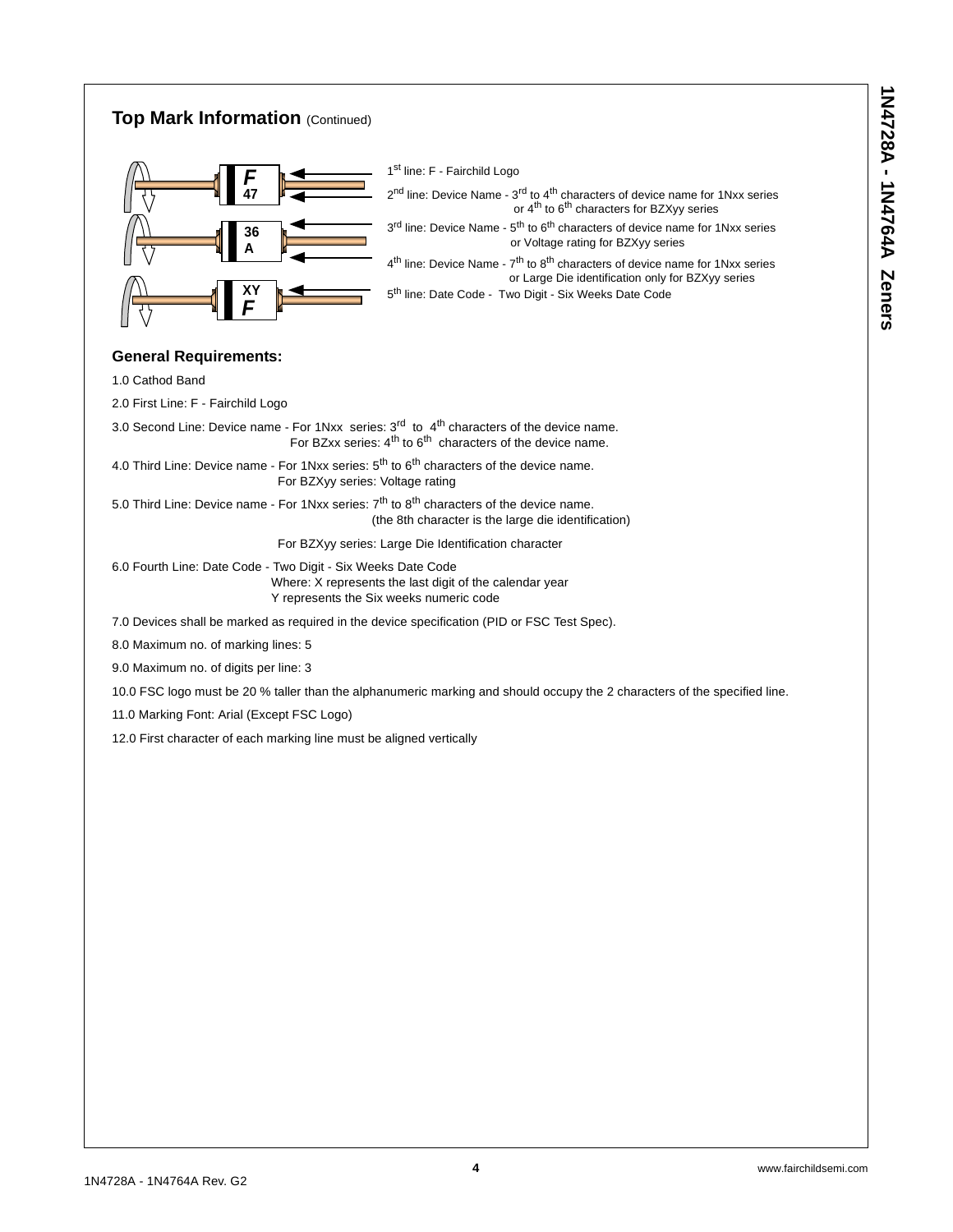### **Top Mark Information (Continued) General Requirements:**  1.0 Cathod Band 2.0 First Line: F - Fairchild Logo 3.0 Second Line: Device name - For 1Nxx series:  $3^{\text{rd}}$  to  $4^{\text{th}}$  characters of the device name. For BZxx series:  $4^{\text{th}}$  to  $6^{\text{th}}$  characters of the device name. 4.0 Third Line: Device name - For 1Nxx series:  $5<sup>th</sup>$  to  $6<sup>th</sup>$  characters of the device name. For BZXyy series: Voltage rating 5.0 Third Line: Device name - For 1Nxx series:  $7<sup>th</sup>$  to  $8<sup>th</sup>$  characters of the device name. (the 8th character is the large die identification) For BZXyy series: Large Die Identification character 6.0 Fourth Line: Date Code - Two Digit - Six Weeks Date Code Where: X represents the last digit of the calendar year Y represents the Six weeks numeric code 7.0 Devices shall be marked as required in the device specification (PID or FSC Test Spec). 8.0 Maximum no. of marking lines: 5 9.0 Maximum no. of digits per line: 3 10.0 FSC logo must be 20 % taller than the alphanumeric marking and should occupy the 2 characters of the specified line. 11.0 Marking Font: Arial (Except FSC Logo) 12.0 First character of each marking line must be aligned vertically *F* **47 36 A** *F* **XY** 1st line: F - Fairchild Logo  $2<sup>nd</sup>$  line: Device Name -  $3<sup>rd</sup>$  to  $4<sup>th</sup>$  characters of device name for 1Nxx series or  $4<sup>th</sup>$  to  $6<sup>th</sup>$  characters for BZXyy series 3<sup>rd</sup> line: Device Name - 5<sup>th</sup> to 6<sup>th</sup> characters of device name for 1Nxx series or Voltage rating for BZXyy series  $4<sup>th</sup>$  line: Device Name -  $7<sup>th</sup>$  to  $8<sup>th</sup>$  characters of device name for 1Nxx series or Large Die identification only for BZXyy series 5<sup>th</sup> line: Date Code - Two Digit - Six Weeks Date Code